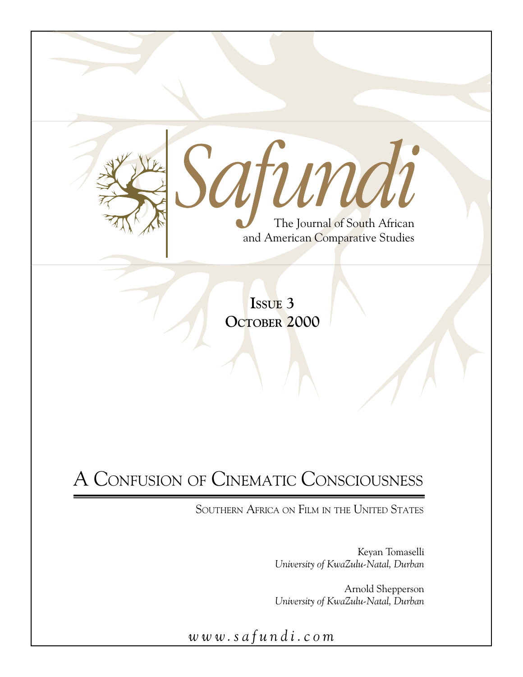

Arnold Shepperson *University of KwaZulu-Natal, Durban*

*w w w . s a f u n d i . c o m*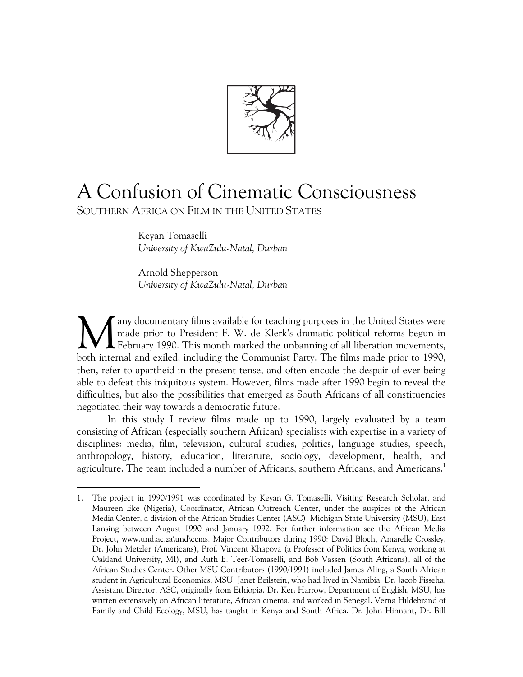

# A Confusion of Cinematic Consciousness SOUTHERN AFRICA ON FILM IN THE UNITED STATES

Keyan Tomaselli *University of KwaZulu-Natal, Durban* 

Arnold Shepperson *University of KwaZulu-Natal, Durban* 

1

any documentary films available for teaching purposes in the United States were made prior to President F. W. de Klerk's dramatic political reforms begun in February 1990. This month marked the unbanning of all liberation movements, Many documentary films available for teaching purposes in the United States were<br>made prior to President F. W. de Klerk's dramatic political reforms begun in<br>both internal and exiled, including the Communist Party. The fil then, refer to apartheid in the present tense, and often encode the despair of ever being able to defeat this iniquitous system. However, films made after 1990 begin to reveal the difficulties, but also the possibilities that emerged as South Africans of all constituencies negotiated their way towards a democratic future.

In this study I review films made up to 1990, largely evaluated by a team consisting of African (especially southern African) specialists with expertise in a variety of disciplines: media, film, television, cultural studies, politics, language studies, speech, anthropology, history, education, literature, sociology, development, health, and agriculture. The team included a number of Africans, southern Africans, and Americans.<sup>1</sup>

<sup>1.</sup> The project in 1990/1991 was coordinated by Keyan G. Tomaselli, Visiting Research Scholar, and Maureen Eke (Nigeria), Coordinator, African Outreach Center, under the auspices of the African Media Center, a division of the African Studies Center (ASC), Michigan State University (MSU), East Lansing between August 1990 and January 1992. For further information see the African Media Project, www.und.ac.za\und\ccms. Major Contributors during 1990: David Bloch, Amarelle Crossley, Dr. John Metzler (Americans), Prof. Vincent Khapoya (a Professor of Politics from Kenya, working at Oakland University, MI), and Ruth E. Teer-Tomaselli, and Bob Vassen (South Africans), all of the African Studies Center. Other MSU Contributors (1990/1991) included James Aling, a South African student in Agricultural Economics, MSU; Janet Beilstein, who had lived in Namibia. Dr. Jacob Fisseha, Assistant Director, ASC, originally from Ethiopia. Dr. Ken Harrow, Department of English, MSU, has written extensively on African literature, African cinema, and worked in Senegal. Verna Hildebrand of Family and Child Ecology, MSU, has taught in Kenya and South Africa. Dr. John Hinnant, Dr. Bill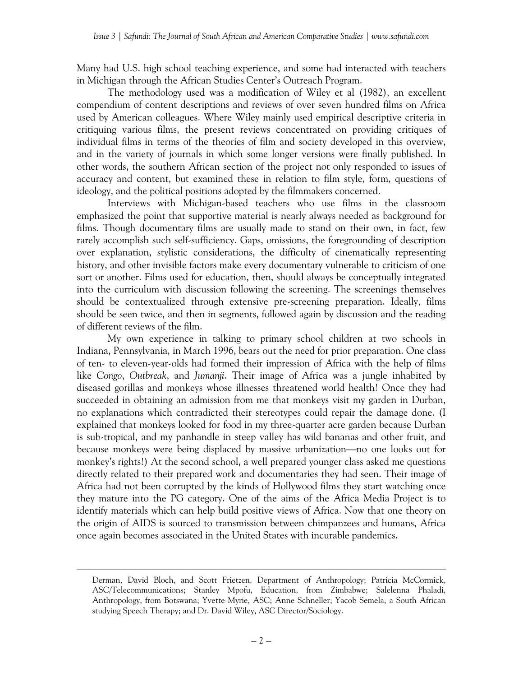Many had U.S. high school teaching experience, and some had interacted with teachers in Michigan through the African Studies Center's Outreach Program.

The methodology used was a modification of Wiley et al (1982), an excellent compendium of content descriptions and reviews of over seven hundred films on Africa used by American colleagues. Where Wiley mainly used empirical descriptive criteria in critiquing various films, the present reviews concentrated on providing critiques of individual films in terms of the theories of film and society developed in this overview, and in the variety of journals in which some longer versions were finally published. In other words, the southern African section of the project not only responded to issues of accuracy and content, but examined these in relation to film style, form, questions of ideology, and the political positions adopted by the filmmakers concerned.

Interviews with Michigan-based teachers who use films in the classroom emphasized the point that supportive material is nearly always needed as background for films. Though documentary films are usually made to stand on their own, in fact, few rarely accomplish such self-sufficiency. Gaps, omissions, the foregrounding of description over explanation, stylistic considerations, the difficulty of cinematically representing history, and other invisible factors make every documentary vulnerable to criticism of one sort or another. Films used for education, then, should always be conceptually integrated into the curriculum with discussion following the screening. The screenings themselves should be contextualized through extensive pre-screening preparation. Ideally, films should be seen twice, and then in segments, followed again by discussion and the reading of different reviews of the film.

My own experience in talking to primary school children at two schools in Indiana, Pennsylvania, in March 1996, bears out the need for prior preparation. One class of ten- to eleven-year-olds had formed their impression of Africa with the help of films like *Congo*, *Outbreak*, and *Jumanji*. Their image of Africa was a jungle inhabited by diseased gorillas and monkeys whose illnesses threatened world health! Once they had succeeded in obtaining an admission from me that monkeys visit my garden in Durban, no explanations which contradicted their stereotypes could repair the damage done. (I explained that monkeys looked for food in my three-quarter acre garden because Durban is sub-tropical, and my panhandle in steep valley has wild bananas and other fruit, and because monkeys were being displaced by massive urbanization—no one looks out for monkey's rights!) At the second school, a well prepared younger class asked me questions directly related to their prepared work and documentaries they had seen. Their image of Africa had not been corrupted by the kinds of Hollywood films they start watching once they mature into the PG category. One of the aims of the Africa Media Project is to identify materials which can help build positive views of Africa. Now that one theory on the origin of AIDS is sourced to transmission between chimpanzees and humans, Africa once again becomes associated in the United States with incurable pandemics.

 $\overline{a}$ 

Derman, David Bloch, and Scott Frietzen, Department of Anthropology; Patricia McCormick, ASC/Telecommunications; Stanley Mpofu, Education, from Zimbabwe; Salelenna Phaladi, Anthropology, from Botswana; Yvette Myrie, ASC; Anne Schneller; Yacob Semela, a South African studying Speech Therapy; and Dr. David Wiley, ASC Director/Sociology.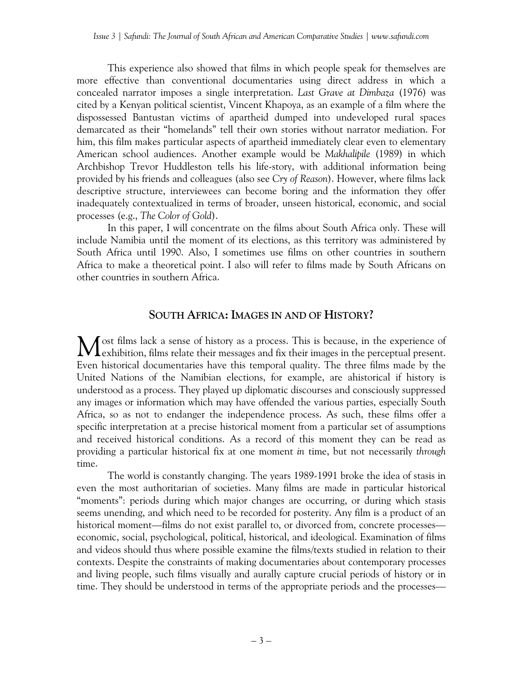This experience also showed that films in which people speak for themselves are more effective than conventional documentaries using direct address in which a concealed narrator imposes a single interpretation. *Last Grave at Dimbaza* (1976) was cited by a Kenyan political scientist, Vincent Khapoya, as an example of a film where the dispossessed Bantustan victims of apartheid dumped into undeveloped rural spaces demarcated as their "homelands" tell their own stories without narrator mediation. For him, this film makes particular aspects of apartheid immediately clear even to elementary American school audiences. Another example would be *Makhalipile* (1989) in which Archbishop Trevor Huddleston tells his life-story, with additional information being provided by his friends and colleagues (also see *Cry of Reason*). However, where films lack descriptive structure, interviewees can become boring and the information they offer inadequately contextualized in terms of broader, unseen historical, economic, and social processes (e.g., *The Color of Gold*).

In this paper, I will concentrate on the films about South Africa only. These will include Namibia until the moment of its elections, as this territory was administered by South Africa until 1990. Also, I sometimes use films on other countries in southern Africa to make a theoretical point. I also will refer to films made by South Africans on other countries in southern Africa.

### **SOUTH AFRICA: IMAGES IN AND OF HISTORY?**

ost films lack a sense of history as a process. This is because, in the experience of Most films lack a sense of history as a process. This is because, in the experience of exhibition, films relate their messages and fix their images in the perceptual present. Even historical documentaries have this temporal quality. The three films made by the United Nations of the Namibian elections, for example, are ahistorical if history is understood as a process. They played up diplomatic discourses and consciously suppressed any images or information which may have offended the various parties, especially South Africa, so as not to endanger the independence process. As such, these films offer a specific interpretation at a precise historical moment from a particular set of assumptions and received historical conditions. As a record of this moment they can be read as providing a particular historical fix at one moment *in* time, but not necessarily *through* time.

The world is constantly changing. The years 1989-1991 broke the idea of stasis in even the most authoritarian of societies. Many films are made in particular historical "moments": periods during which major changes are occurring, or during which stasis seems unending, and which need to be recorded for posterity. Any film is a product of an historical moment—films do not exist parallel to, or divorced from, concrete processes economic, social, psychological, political, historical, and ideological. Examination of films and videos should thus where possible examine the films/texts studied in relation to their contexts. Despite the constraints of making documentaries about contemporary processes and living people, such films visually and aurally capture crucial periods of history or in time. They should be understood in terms of the appropriate periods and the processes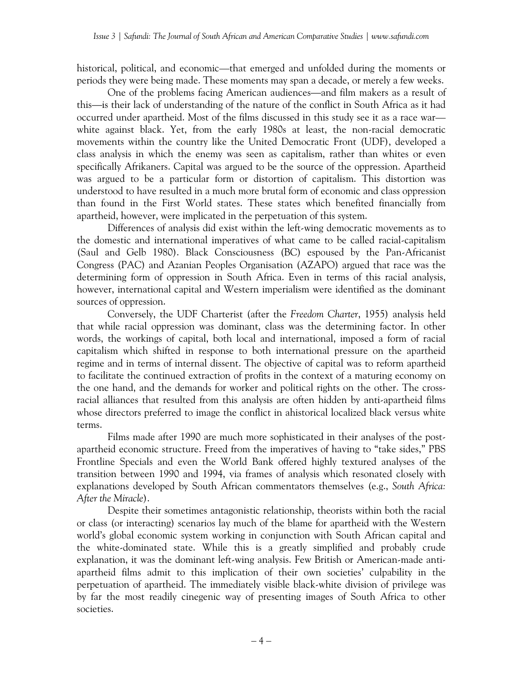historical, political, and economic—that emerged and unfolded during the moments or periods they were being made. These moments may span a decade, or merely a few weeks.

One of the problems facing American audiences—and film makers as a result of this—is their lack of understanding of the nature of the conflict in South Africa as it had occurred under apartheid. Most of the films discussed in this study see it as a race war white against black. Yet, from the early 1980s at least, the non-racial democratic movements within the country like the United Democratic Front (UDF), developed a class analysis in which the enemy was seen as capitalism, rather than whites or even specifically Afrikaners. Capital was argued to be the source of the oppression. Apartheid was argued to be a particular form or distortion of capitalism. This distortion was understood to have resulted in a much more brutal form of economic and class oppression than found in the First World states. These states which benefited financially from apartheid, however, were implicated in the perpetuation of this system.

Differences of analysis did exist within the left-wing democratic movements as to the domestic and international imperatives of what came to be called racial-capitalism (Saul and Gelb 1980). Black Consciousness (BC) espoused by the Pan-Africanist Congress (PAC) and Azanian Peoples Organisation (AZAPO) argued that race was the determining form of oppression in South Africa. Even in terms of this racial analysis, however, international capital and Western imperialism were identified as the dominant sources of oppression.

Conversely, the UDF Charterist (after the *Freedom Charter*, 1955) analysis held that while racial oppression was dominant, class was the determining factor. In other words, the workings of capital, both local and international, imposed a form of racial capitalism which shifted in response to both international pressure on the apartheid regime and in terms of internal dissent. The objective of capital was to reform apartheid to facilitate the continued extraction of profits in the context of a maturing economy on the one hand, and the demands for worker and political rights on the other. The crossracial alliances that resulted from this analysis are often hidden by anti-apartheid films whose directors preferred to image the conflict in ahistorical localized black versus white terms.

Films made after 1990 are much more sophisticated in their analyses of the postapartheid economic structure. Freed from the imperatives of having to "take sides," PBS Frontline Specials and even the World Bank offered highly textured analyses of the transition between 1990 and 1994, via frames of analysis which resonated closely with explanations developed by South African commentators themselves (e.g., *South Africa: After the Miracle*).

Despite their sometimes antagonistic relationship, theorists within both the racial or class (or interacting) scenarios lay much of the blame for apartheid with the Western world's global economic system working in conjunction with South African capital and the white-dominated state. While this is a greatly simplified and probably crude explanation, it was the dominant left-wing analysis. Few British or American-made antiapartheid films admit to this implication of their own societies' culpability in the perpetuation of apartheid. The immediately visible black-white division of privilege was by far the most readily cinegenic way of presenting images of South Africa to other societies.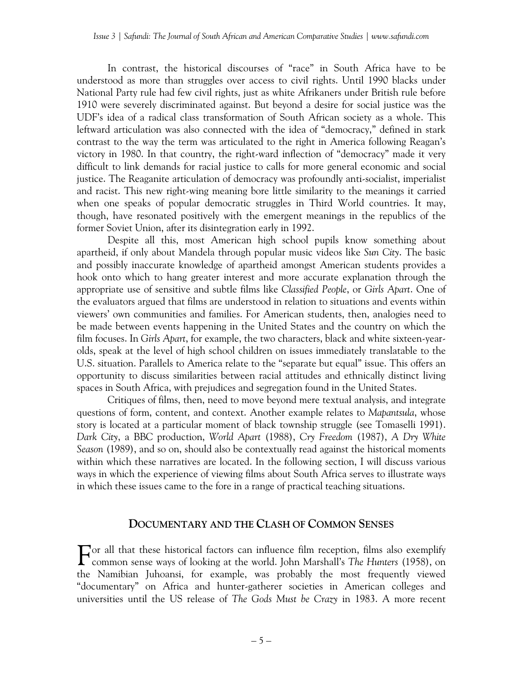In contrast, the historical discourses of "race" in South Africa have to be understood as more than struggles over access to civil rights. Until 1990 blacks under National Party rule had few civil rights, just as white Afrikaners under British rule before 1910 were severely discriminated against. But beyond a desire for social justice was the UDF's idea of a radical class transformation of South African society as a whole. This leftward articulation was also connected with the idea of "democracy," defined in stark contrast to the way the term was articulated to the right in America following Reagan's victory in 1980. In that country, the right-ward inflection of "democracy" made it very difficult to link demands for racial justice to calls for more general economic and social justice. The Reaganite articulation of democracy was profoundly anti-socialist, imperialist and racist. This new right-wing meaning bore little similarity to the meanings it carried when one speaks of popular democratic struggles in Third World countries. It may, though, have resonated positively with the emergent meanings in the republics of the former Soviet Union, after its disintegration early in 1992.

Despite all this, most American high school pupils know something about apartheid, if only about Mandela through popular music videos like *Sun City*. The basic and possibly inaccurate knowledge of apartheid amongst American students provides a hook onto which to hang greater interest and more accurate explanation through the appropriate use of sensitive and subtle films like *Classified People*, or *Girls Apart*. One of the evaluators argued that films are understood in relation to situations and events within viewers' own communities and families. For American students, then, analogies need to be made between events happening in the United States and the country on which the film focuses. In *Girls Apart*, for example, the two characters, black and white sixteen-yearolds, speak at the level of high school children on issues immediately translatable to the U.S. situation. Parallels to America relate to the "separate but equal" issue. This offers an opportunity to discuss similarities between racial attitudes and ethnically distinct living spaces in South Africa, with prejudices and segregation found in the United States.

Critiques of films, then, need to move beyond mere textual analysis, and integrate questions of form, content, and context. Another example relates to *Mapantsula*, whose story is located at a particular moment of black township struggle (see Tomaselli 1991). *Dark City*, a BBC production, *World Apart* (1988), *Cry Freedom* (1987), *A Dry White Season* (1989), and so on, should also be contextually read against the historical moments within which these narratives are located. In the following section, I will discuss various ways in which the experience of viewing films about South Africa serves to illustrate ways in which these issues came to the fore in a range of practical teaching situations.

#### **DOCUMENTARY AND THE CLASH OF COMMON SENSES**

or all that these historical factors can influence film reception, films also exemplify For all that these historical factors can influence film reception, films also exemplify<br>common sense ways of looking at the world. John Marshall's *The Hunters* (1958), on the Namibian Juhoansi, for example, was probably the most frequently viewed "documentary" on Africa and hunter-gatherer societies in American colleges and universities until the US release of *The Gods Must be Crazy* in 1983. A more recent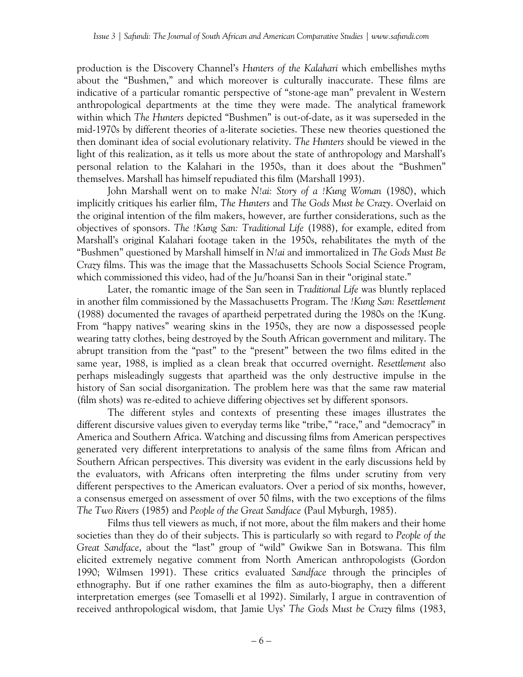production is the Discovery Channel's *Hunters of the Kalahari* which embellishes myths about the "Bushmen," and which moreover is culturally inaccurate. These films are indicative of a particular romantic perspective of "stone-age man" prevalent in Western anthropological departments at the time they were made. The analytical framework within which *The Hunters* depicted "Bushmen" is out-of-date, as it was superseded in the mid-1970s by different theories of a-literate societies. These new theories questioned the then dominant idea of social evolutionary relativity. *The Hunters* should be viewed in the light of this realization, as it tells us more about the state of anthropology and Marshall's personal relation to the Kalahari in the 1950s, than it does about the "Bushmen" themselves. Marshall has himself repudiated this film (Marshall 1993).

John Marshall went on to make *N!ai: Story of a !Kung Woman* (1980), which implicitly critiques his earlier film, *The Hunters* and *The Gods Must be Crazy*. Overlaid on the original intention of the film makers, however, are further considerations, such as the objectives of sponsors. *The !Kung San: Traditional Life* (1988), for example, edited from Marshall's original Kalahari footage taken in the 1950s, rehabilitates the myth of the "Bushmen" questioned by Marshall himself in *N!ai* and immortalized in *The Gods Must Be Crazy* films. This was the image that the Massachusetts Schools Social Science Program, which commissioned this video, had of the Ju/'hoansi San in their "original state."

Later, the romantic image of the San seen in *Traditional Life* was bluntly replaced in another film commissioned by the Massachusetts Program. The *!Kung San: Resettlement* (1988) documented the ravages of apartheid perpetrated during the 1980s on the !Kung. From "happy natives" wearing skins in the 1950s, they are now a dispossessed people wearing tatty clothes, being destroyed by the South African government and military. The abrupt transition from the "past" to the "present" between the two films edited in the same year, 1988, is implied as a clean break that occurred overnight. *Resettlement* also perhaps misleadingly suggests that apartheid was the only destructive impulse in the history of San social disorganization. The problem here was that the same raw material (film shots) was re-edited to achieve differing objectives set by different sponsors.

The different styles and contexts of presenting these images illustrates the different discursive values given to everyday terms like "tribe," "race," and "democracy" in America and Southern Africa. Watching and discussing films from American perspectives generated very different interpretations to analysis of the same films from African and Southern African perspectives. This diversity was evident in the early discussions held by the evaluators, with Africans often interpreting the films under scrutiny from very different perspectives to the American evaluators. Over a period of six months, however, a consensus emerged on assessment of over 50 films, with the two exceptions of the films *The Two Rivers* (1985) and *People of the Great Sandface* (Paul Myburgh, 1985).

Films thus tell viewers as much, if not more, about the film makers and their home societies than they do of their subjects. This is particularly so with regard to *People of the Great Sandface*, about the "last" group of "wild" Gwikwe San in Botswana. This film elicited extremely negative comment from North American anthropologists (Gordon 1990; Wilmsen 1991). These critics evaluated *Sandface* through the principles of ethnography. But if one rather examines the film as auto-biography, then a different interpretation emerges (see Tomaselli et al 1992). Similarly, I argue in contravention of received anthropological wisdom, that Jamie Uys' *The Gods Must be Crazy* films (1983,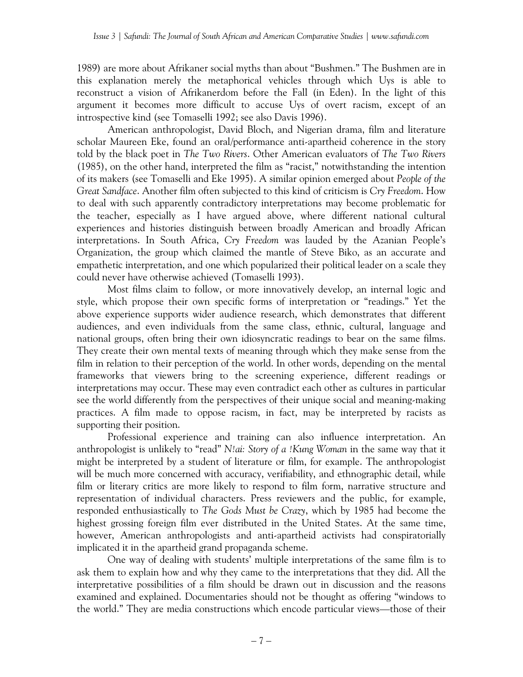1989) are more about Afrikaner social myths than about "Bushmen." The Bushmen are in this explanation merely the metaphorical vehicles through which Uys is able to reconstruct a vision of Afrikanerdom before the Fall (in Eden). In the light of this argument it becomes more difficult to accuse Uys of overt racism, except of an introspective kind (see Tomaselli 1992; see also Davis 1996).

American anthropologist, David Bloch, and Nigerian drama, film and literature scholar Maureen Eke, found an oral/performance anti-apartheid coherence in the story told by the black poet in *The Two Rivers*. Other American evaluators of *The Two Rivers* (1985), on the other hand, interpreted the film as "racist," notwithstanding the intention of its makers (see Tomaselli and Eke 1995). A similar opinion emerged about *People of the Great Sandface*. Another film often subjected to this kind of criticism is *Cry Freedom*. How to deal with such apparently contradictory interpretations may become problematic for the teacher, especially as I have argued above, where different national cultural experiences and histories distinguish between broadly American and broadly African interpretations. In South Africa, *Cry Freedom* was lauded by the Azanian People's Organization, the group which claimed the mantle of Steve Biko, as an accurate and empathetic interpretation, and one which popularized their political leader on a scale they could never have otherwise achieved (Tomaselli 1993).

Most films claim to follow, or more innovatively develop, an internal logic and style, which propose their own specific forms of interpretation or "readings." Yet the above experience supports wider audience research, which demonstrates that different audiences, and even individuals from the same class, ethnic, cultural, language and national groups, often bring their own idiosyncratic readings to bear on the same films. They create their own mental texts of meaning through which they make sense from the film in relation to their perception of the world. In other words, depending on the mental frameworks that viewers bring to the screening experience, different readings or interpretations may occur. These may even contradict each other as cultures in particular see the world differently from the perspectives of their unique social and meaning-making practices. A film made to oppose racism, in fact, may be interpreted by racists as supporting their position.

Professional experience and training can also influence interpretation. An anthropologist is unlikely to "read" *N!ai: Story of a !Kung Woman* in the same way that it might be interpreted by a student of literature or film, for example. The anthropologist will be much more concerned with accuracy, verifiability, and ethnographic detail, while film or literary critics are more likely to respond to film form, narrative structure and representation of individual characters. Press reviewers and the public, for example, responded enthusiastically to *The Gods Must be Crazy*, which by 1985 had become the highest grossing foreign film ever distributed in the United States. At the same time, however, American anthropologists and anti-apartheid activists had conspiratorially implicated it in the apartheid grand propaganda scheme.

One way of dealing with students' multiple interpretations of the same film is to ask them to explain how and why they came to the interpretations that they did. All the interpretative possibilities of a film should be drawn out in discussion and the reasons examined and explained. Documentaries should not be thought as offering "windows to the world." They are media constructions which encode particular views—those of their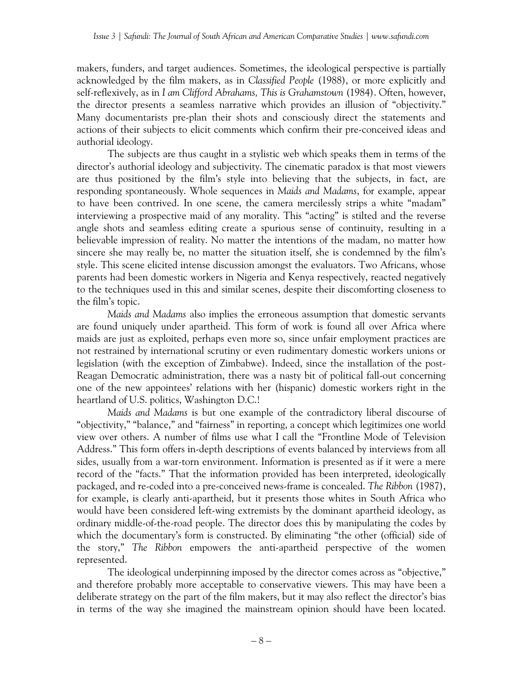makers, funders, and target audiences. Sometimes, the ideological perspective is partially acknowledged by the film makers, as in *Classified People* (1988), or more explicitly and self-reflexively, as in *I am Clifford Abrahams, This is Grahamstown* (1984). Often, however, the director presents a seamless narrative which provides an illusion of "objectivity." Many documentarists pre-plan their shots and consciously direct the statements and actions of their subjects to elicit comments which confirm their pre-conceived ideas and authorial ideology.

The subjects are thus caught in a stylistic web which speaks them in terms of the director's authorial ideology and subjectivity. The cinematic paradox is that most viewers are thus positioned by the film's style into believing that the subjects, in fact, are responding spontaneously. Whole sequences in *Maids and Madams*, for example, appear to have been contrived. In one scene, the camera mercilessly strips a white "madam" interviewing a prospective maid of any morality. This "acting" is stilted and the reverse angle shots and seamless editing create a spurious sense of continuity, resulting in a believable impression of reality. No matter the intentions of the madam, no matter how sincere she may really be, no matter the situation itself, she is condemned by the film's style. This scene elicited intense discussion amongst the evaluators. Two Africans, whose parents had been domestic workers in Nigeria and Kenya respectively, reacted negatively to the techniques used in this and similar scenes, despite their discomforting closeness to the film's topic.

*Maids and Madams* also implies the erroneous assumption that domestic servants are found uniquely under apartheid. This form of work is found all over Africa where maids are just as exploited, perhaps even more so, since unfair employment practices are not restrained by international scrutiny or even rudimentary domestic workers unions or legislation (with the exception of Zimbabwe). Indeed, since the installation of the post-Reagan Democratic administration, there was a nasty bit of political fall-out concerning one of the new appointees' relations with her (hispanic) domestic workers right in the heartland of U.S. politics, Washington D.C.!

*Maids and Madams* is but one example of the contradictory liberal discourse of "objectivity," "balance," and "fairness" in reporting, a concept which legitimizes one world view over others. A number of films use what I call the "Frontline Mode of Television Address." This form offers in-depth descriptions of events balanced by interviews from all sides, usually from a war-torn environment. Information is presented as if it were a mere record of the "facts." That the information provided has been interpreted, ideologically packaged, and re-coded into a pre-conceived news-frame is concealed. *The Ribbon* (1987), for example, is clearly anti-apartheid, but it presents those whites in South Africa who would have been considered left-wing extremists by the dominant apartheid ideology, as ordinary middle-of-the-road people. The director does this by manipulating the codes by which the documentary's form is constructed. By eliminating "the other (official) side of the story," *The Ribbon* empowers the anti-apartheid perspective of the women represented.

The ideological underpinning imposed by the director comes across as "objective," and therefore probably more acceptable to conservative viewers. This may have been a deliberate strategy on the part of the film makers, but it may also reflect the director's bias in terms of the way she imagined the mainstream opinion should have been located.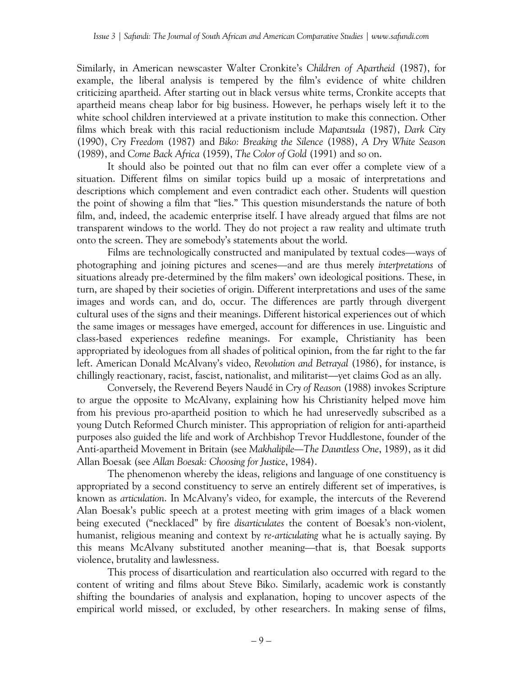Similarly, in American newscaster Walter Cronkite's *Children of Apartheid* (1987), for example, the liberal analysis is tempered by the film's evidence of white children criticizing apartheid. After starting out in black versus white terms, Cronkite accepts that apartheid means cheap labor for big business. However, he perhaps wisely left it to the white school children interviewed at a private institution to make this connection. Other films which break with this racial reductionism include *Mapantsula* (1987), *Dark City* (1990), *Cry Freedom* (1987) and *Biko: Breaking the Silence* (1988), *A Dry White Season* (1989), and *Come Back Africa* (1959), *The Color of Gold* (1991) and so on.

It should also be pointed out that no film can ever offer a complete view of a situation. Different films on similar topics build up a mosaic of interpretations and descriptions which complement and even contradict each other. Students will question the point of showing a film that "lies." This question misunderstands the nature of both film, and, indeed, the academic enterprise itself. I have already argued that films are not transparent windows to the world. They do not project a raw reality and ultimate truth onto the screen. They are somebody's statements about the world.

Films are technologically constructed and manipulated by textual codes—ways of photographing and joining pictures and scenes—and are thus merely *interpretations* of situations already pre-determined by the film makers' own ideological positions. These, in turn, are shaped by their societies of origin. Different interpretations and uses of the same images and words can, and do, occur. The differences are partly through divergent cultural uses of the signs and their meanings. Different historical experiences out of which the same images or messages have emerged, account for differences in use. Linguistic and class-based experiences redefine meanings. For example, Christianity has been appropriated by ideologues from all shades of political opinion, from the far right to the far left. American Donald McAlvany's video, *Revolution and Betrayal* (1986), for instance, is chillingly reactionary, racist, fascist, nationalist, and militarist—yet claims God as an ally.

Conversely, the Reverend Beyers Naudé in *Cry of Reason* (1988) invokes Scripture to argue the opposite to McAlvany, explaining how his Christianity helped move him from his previous pro-apartheid position to which he had unreservedly subscribed as a young Dutch Reformed Church minister. This appropriation of religion for anti-apartheid purposes also guided the life and work of Archbishop Trevor Huddlestone, founder of the Anti-apartheid Movement in Britain (see *Makhalipile—The Dauntless One*, 1989), as it did Allan Boesak (see *Allan Boesak: Choosing for Justice*, 1984).

The phenomenon whereby the ideas, religions and language of one constituency is appropriated by a second constituency to serve an entirely different set of imperatives, is known as *articulation*. In McAlvany's video, for example, the intercuts of the Reverend Alan Boesak's public speech at a protest meeting with grim images of a black women being executed ("necklaced" by fire *disarticulates* the content of Boesak's non-violent, humanist, religious meaning and context by *re-articulating* what he is actually saying. By this means McAlvany substituted another meaning—that is, that Boesak supports violence, brutality and lawlessness.

This process of disarticulation and rearticulation also occurred with regard to the content of writing and films about Steve Biko. Similarly, academic work is constantly shifting the boundaries of analysis and explanation, hoping to uncover aspects of the empirical world missed, or excluded, by other researchers. In making sense of films,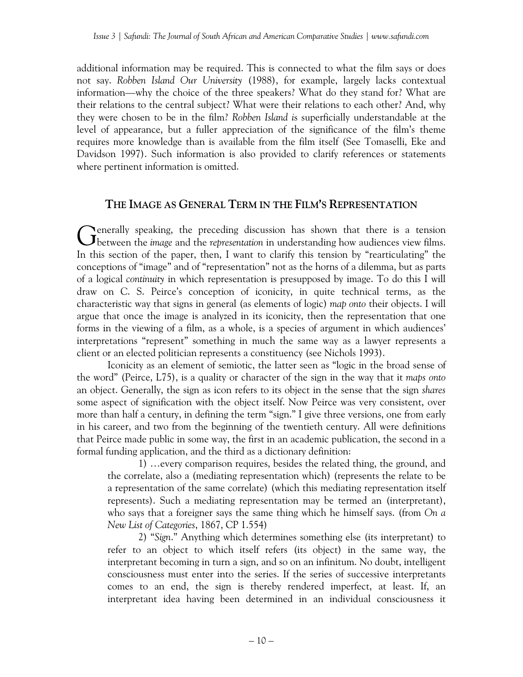additional information may be required. This is connected to what the film says or does not say. *Robben Island Our University* (1988), for example, largely lacks contextual information—why the choice of the three speakers? What do they stand for? What are their relations to the central subject? What were their relations to each other? And, why they were chosen to be in the film? *Robben Island i*s superficially understandable at the level of appearance, but a fuller appreciation of the significance of the film's theme requires more knowledge than is available from the film itself (See Tomaselli, Eke and Davidson 1997). Such information is also provided to clarify references or statements where pertinent information is omitted.

### **THE IMAGE AS GENERAL TERM IN THE FILM'S REPRESENTATION**

enerally speaking, the preceding discussion has shown that there is a tension Cenerally speaking, the preceding discussion has shown that there is a tension between the *image* and the *representation* in understanding how audiences view films. In this section of the paper, then, I want to clarify this tension by "rearticulating" the conceptions of "image" and of "representation" not as the horns of a dilemma, but as parts of a logical *continuity* in which representation is presupposed by image. To do this I will draw on C. S. Peirce's conception of iconicity, in quite technical terms, as the characteristic way that signs in general (as elements of logic) *map onto* their objects. I will argue that once the image is analyzed in its iconicity, then the representation that one forms in the viewing of a film, as a whole, is a species of argument in which audiences' interpretations "represent" something in much the same way as a lawyer represents a client or an elected politician represents a constituency (see Nichols 1993).

Iconicity as an element of semiotic, the latter seen as "logic in the broad sense of the word" (Peirce, L75), is a quality or character of the sign in the way that it *maps onto* an object. Generally, the sign as icon refers to its object in the sense that the sign *shares* some aspect of signification with the object itself. Now Peirce was very consistent, over more than half a century, in defining the term "sign." I give three versions, one from early in his career, and two from the beginning of the twentieth century. All were definitions that Peirce made public in some way, the first in an academic publication, the second in a formal funding application, and the third as a dictionary definition:

1) …every comparison requires, besides the related thing, the ground, and the correlate, also a (mediating representation which) (represents the relate to be a representation of the same correlate) (which this mediating representation itself represents). Such a mediating representation may be termed an (interpretant), who says that a foreigner says the same thing which he himself says. (from *On a New List of Categories*, 1867, CP 1.554)

2) "*Sign*." Anything which determines something else (its interpretant) to refer to an object to which itself refers (its object) in the same way, the interpretant becoming in turn a sign, and so on an infinitum. No doubt, intelligent consciousness must enter into the series. If the series of successive interpretants comes to an end, the sign is thereby rendered imperfect, at least. If, an interpretant idea having been determined in an individual consciousness it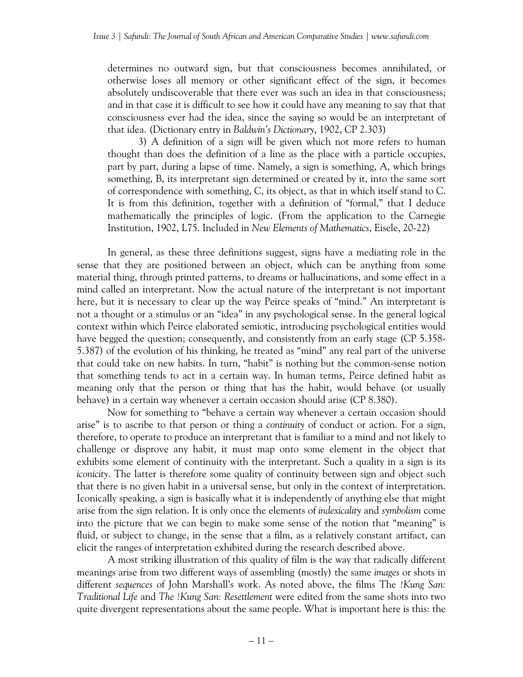determines no outward sign, but that consciousness becomes annihilated, or otherwise loses all memory or other significant effect of the sign, it becomes absolutely undiscoverable that there ever was such an idea in that consciousness; and in that case it is difficult to see how it could have any meaning to say that that consciousness ever had the idea, since the saying so would be an interpretant of that idea. (Dictionary entry in *Baldwin's Dictionary*, 1902, CP 2.303)

3) A definition of a sign will be given which not more refers to human thought than does the definition of a line as the place with a particle occupies, part by part, during a lapse of time. Namely, a sign is something, A, which brings something, B, its interpretant sign determined or created by it, into the same sort of correspondence with something, C, its object, as that in which itself stand to C. It is from this definition, together with a definition of "formal," that I deduce mathematically the principles of logic. (From the application to the Carnegie Institution, 1902, L75. Included in *New Elements of Mathematics*, Eisele, 20-22)

In general, as these three definitions suggest, signs have a mediating role in the sense that they are positioned between an object, which can be anything from some material thing, through printed patterns, to dreams or hallucinations, and some effect in a mind called an interpretant. Now the actual nature of the interpretant is not important here, but it is necessary to clear up the way Peirce speaks of "mind." An interpretant is not a thought or a stimulus or an "idea" in any psychological sense. In the general logical context within which Peirce elaborated semiotic, introducing psychological entities would have begged the question; consequently, and consistently from an early stage (CP 5.358-5.387) of the evolution of his thinking, he treated as "mind" any real part of the universe that could take on new habits. In turn, "habit" is nothing but the common-sense notion that something tends to act in a certain way. In human terms, Peirce defined habit as meaning only that the person or thing that has the habit, would behave (or usually behave) in a certain way whenever a certain occasion should arise (CP 8.380).

Now for something to "behave a certain way whenever a certain occasion should arise" is to ascribe to that person or thing a *continuity* of conduct or action. For a sign, therefore, to operate to produce an interpretant that is familiar to a mind and not likely to challenge or disprove any habit, it must map onto some element in the object that exhibits some element of continuity with the interpretant. Such a quality in a sign is its *iconicity*. The latter is therefore some quality of continuity between sign and object such that there is no given habit in a universal sense, but only in the context of interpretation. Iconically speaking, a sign is basically what it is independently of anything else that might arise from the sign relation. It is only once the elements of *indexicality* and *symbolism* come into the picture that we can begin to make some sense of the notion that "meaning" is fluid, or subject to change, in the sense that a film, as a relatively constant artifact, can elicit the ranges of interpretation exhibited during the research described above.

A most striking illustration of this quality of film is the way that radically different meanings arise from two different ways of assembling (mostly) the same *images* or shots in different *sequences* of John Marshall's work. As noted above, the films The *!Kung San: Traditional Life* and *The !Kung San: Resettlement* were edited from the same shots into two quite divergent representations about the same people. What is important here is this: the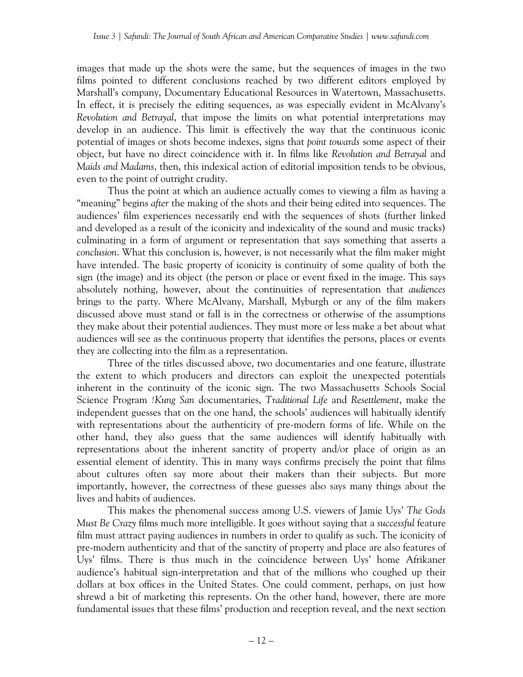images that made up the shots were the same, but the sequences of images in the two films pointed to different conclusions reached by two different editors employed by Marshall's company, Documentary Educational Resources in Watertown, Massachusetts. In effect, it is precisely the editing sequences, as was especially evident in McAlvany's *Revolution and Betrayal*, that impose the limits on what potential interpretations may develop in an audience. This limit is effectively the way that the continuous iconic potential of images or shots become indexes, signs that *point towards* some aspect of their object, but have no direct coincidence with it. In films like *Revolution and Betrayal* and *Maids and Madams*, then, this indexical action of editorial imposition tends to be obvious, even to the point of outright crudity.

Thus the point at which an audience actually comes to viewing a film as having a "meaning" begins *after* the making of the shots and their being edited into sequences. The audiences' film experiences necessarily end with the sequences of shots (further linked and developed as a result of the iconicity and indexicality of the sound and music tracks) culminating in a form of argument or representation that says something that asserts a *conclusion*. What this conclusion is, however, is not necessarily what the film maker might have intended. The basic property of iconicity is continuity of some quality of both the sign (the image) and its object (the person or place or event fixed in the image. This says absolutely nothing, however, about the continuities of representation that *audiences* brings to the party. Where McAlvany, Marshall, Myburgh or any of the film makers discussed above must stand or fall is in the correctness or otherwise of the assumptions they make about their potential audiences. They must more or less make a bet about what audiences will see as the continuous property that identifies the persons, places or events they are collecting into the film as a representation.

Three of the titles discussed above, two documentaries and one feature, illustrate the extent to which producers and directors can exploit the unexpected potentials inherent in the continuity of the iconic sign. The two Massachusetts Schools Social Science Program *!Kung San* documentaries, *Traditional Life* and *Resettlement*, make the independent guesses that on the one hand, the schools' audiences will habitually identify with representations about the authenticity of pre-modern forms of life. While on the other hand, they also guess that the same audiences will identify habitually with representations about the inherent sanctity of property and/or place of origin as an essential element of identity. This in many ways confirms precisely the point that films about cultures often say more about their makers than their subjects. But more importantly, however, the correctness of these guesses also says many things about the lives and habits of audiences.

This makes the phenomenal success among U.S. viewers of Jamie Uys' *The Gods Must Be Crazy* films much more intelligible. It goes without saying that a *successful* feature film must attract paying audiences in numbers in order to qualify as such. The iconicity of pre-modern authenticity and that of the sanctity of property and place are also features of Uys' films. There is thus much in the coincidence between Uys' home Afrikaner audience's habitual sign-interpretation and that of the millions who coughed up their dollars at box offices in the United States. One could comment, perhaps, on just how shrewd a bit of marketing this represents. On the other hand, however, there are more fundamental issues that these films' production and reception reveal, and the next section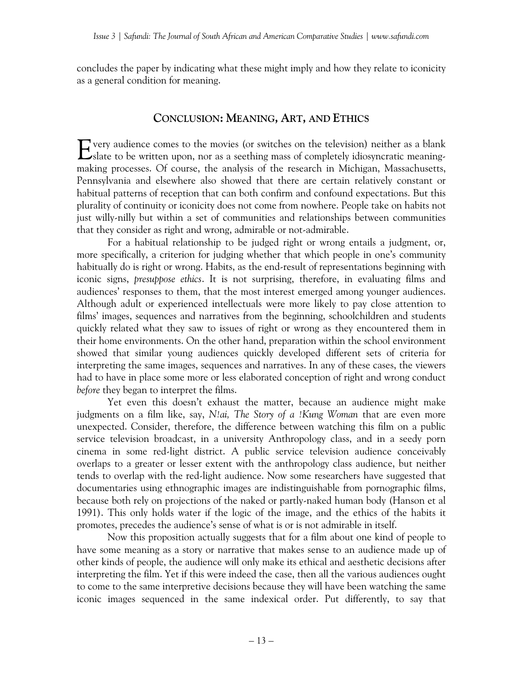concludes the paper by indicating what these might imply and how they relate to iconicity as a general condition for meaning.

## **CONCLUSION: MEANING, ART, AND ETHICS**

very audience comes to the movies (or switches on the television) neither as a blank Every audience comes to the movies (or switches on the television) neither as a blank slate to be written upon, nor as a seething mass of completely idiosyncratic meaningmaking processes. Of course, the analysis of the research in Michigan, Massachusetts, Pennsylvania and elsewhere also showed that there are certain relatively constant or habitual patterns of reception that can both confirm and confound expectations. But this plurality of continuity or iconicity does not come from nowhere. People take on habits not just willy-nilly but within a set of communities and relationships between communities that they consider as right and wrong, admirable or not-admirable.

For a habitual relationship to be judged right or wrong entails a judgment, or, more specifically, a criterion for judging whether that which people in one's community habitually do is right or wrong. Habits, as the end-result of representations beginning with iconic signs, *presuppose ethics*. It is not surprising, therefore, in evaluating films and audiences' responses to them, that the most interest emerged among younger audiences. Although adult or experienced intellectuals were more likely to pay close attention to films' images, sequences and narratives from the beginning, schoolchildren and students quickly related what they saw to issues of right or wrong as they encountered them in their home environments. On the other hand, preparation within the school environment showed that similar young audiences quickly developed different sets of criteria for interpreting the same images, sequences and narratives. In any of these cases, the viewers had to have in place some more or less elaborated conception of right and wrong conduct *before* they began to interpret the films.

Yet even this doesn't exhaust the matter, because an audience might make judgments on a film like, say, *N!ai, The Story of a !Kung Woman* that are even more unexpected. Consider, therefore, the difference between watching this film on a public service television broadcast, in a university Anthropology class, and in a seedy porn cinema in some red-light district. A public service television audience conceivably overlaps to a greater or lesser extent with the anthropology class audience, but neither tends to overlap with the red-light audience. Now some researchers have suggested that documentaries using ethnographic images are indistinguishable from pornographic films, because both rely on projections of the naked or partly-naked human body (Hanson et al 1991). This only holds water if the logic of the image, and the ethics of the habits it promotes, precedes the audience's sense of what is or is not admirable in itself.

Now this proposition actually suggests that for a film about one kind of people to have some meaning as a story or narrative that makes sense to an audience made up of other kinds of people, the audience will only make its ethical and aesthetic decisions after interpreting the film. Yet if this were indeed the case, then all the various audiences ought to come to the same interpretive decisions because they will have been watching the same iconic images sequenced in the same indexical order. Put differently, to say that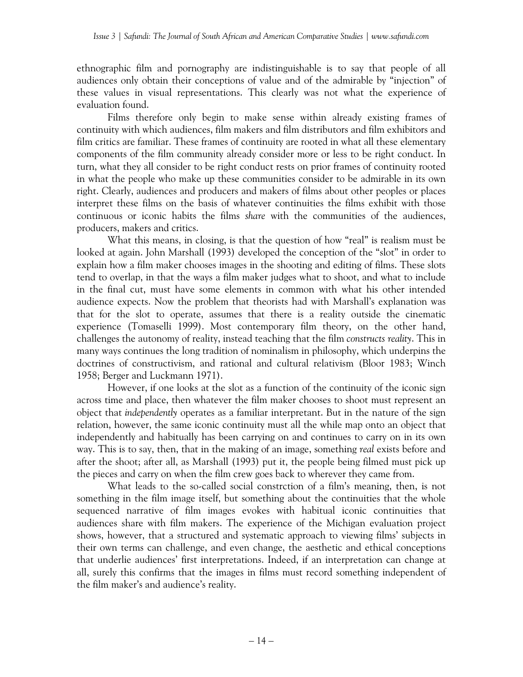ethnographic film and pornography are indistinguishable is to say that people of all audiences only obtain their conceptions of value and of the admirable by "injection" of these values in visual representations. This clearly was not what the experience of evaluation found.

Films therefore only begin to make sense within already existing frames of continuity with which audiences, film makers and film distributors and film exhibitors and film critics are familiar. These frames of continuity are rooted in what all these elementary components of the film community already consider more or less to be right conduct. In turn, what they all consider to be right conduct rests on prior frames of continuity rooted in what the people who make up these communities consider to be admirable in its own right. Clearly, audiences and producers and makers of films about other peoples or places interpret these films on the basis of whatever continuities the films exhibit with those continuous or iconic habits the films *share* with the communities of the audiences, producers, makers and critics.

What this means, in closing, is that the question of how "real" is realism must be looked at again. John Marshall (1993) developed the conception of the "slot" in order to explain how a film maker chooses images in the shooting and editing of films. These slots tend to overlap, in that the ways a film maker judges what to shoot, and what to include in the final cut, must have some elements in common with what his other intended audience expects. Now the problem that theorists had with Marshall's explanation was that for the slot to operate, assumes that there is a reality outside the cinematic experience (Tomaselli 1999). Most contemporary film theory, on the other hand, challenges the autonomy of reality, instead teaching that the film *constructs reality*. This in many ways continues the long tradition of nominalism in philosophy, which underpins the doctrines of constructivism, and rational and cultural relativism (Bloor 1983; Winch 1958; Berger and Luckmann 1971).

However, if one looks at the slot as a function of the continuity of the iconic sign across time and place, then whatever the film maker chooses to shoot must represent an object that *independently* operates as a familiar interpretant. But in the nature of the sign relation, however, the same iconic continuity must all the while map onto an object that independently and habitually has been carrying on and continues to carry on in its own way. This is to say, then, that in the making of an image, something *real* exists before and after the shoot; after all, as Marshall (1993) put it, the people being filmed must pick up the pieces and carry on when the film crew goes back to wherever they came from.

What leads to the so-called social constrction of a film's meaning, then, is not something in the film image itself, but something about the continuities that the whole sequenced narrative of film images evokes with habitual iconic continuities that audiences share with film makers. The experience of the Michigan evaluation project shows, however, that a structured and systematic approach to viewing films' subjects in their own terms can challenge, and even change, the aesthetic and ethical conceptions that underlie audiences' first interpretations. Indeed, if an interpretation can change at all, surely this confirms that the images in films must record something independent of the film maker's and audience's reality.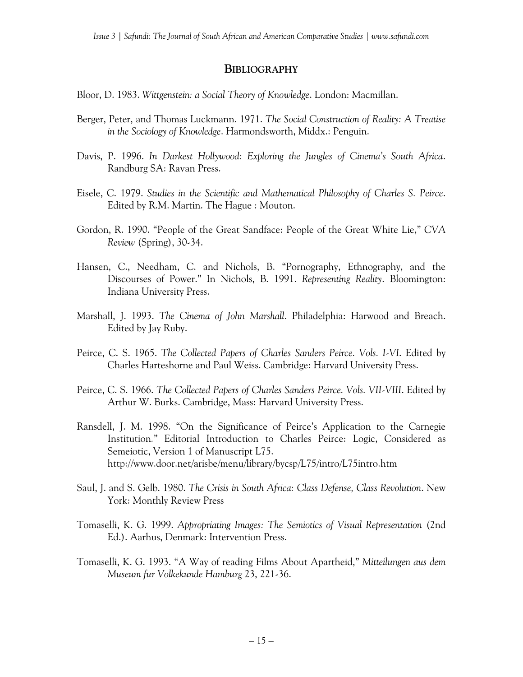#### **BIBLIOGRAPHY**

- Bloor, D. 1983. *Wittgenstein: a Social Theory of Knowledge*. London: Macmillan.
- Berger, Peter, and Thomas Luckmann. 1971. *The Social Construction of Reality: A Treatise in the Sociology of Knowledge*. Harmondsworth, Middx.: Penguin.
- Davis, P. 1996. *In Darkest Hollywood: Exploring the Jungles of Cinema's South Africa*. Randburg SA: Ravan Press.
- Eisele, C. 1979. *Studies in the Scientific and Mathematical Philosophy of Charles S. Peirce*. Edited by R.M. Martin. The Hague : Mouton.
- Gordon, R. 1990. "People of the Great Sandface: People of the Great White Lie," *CVA Review* (Spring), 30-34.
- Hansen, C., Needham, C. and Nichols, B. "Pornography, Ethnography, and the Discourses of Power." In Nichols, B. 1991. *Representing Reality*. Bloomington: Indiana University Press.
- Marshall, J. 1993. *The Cinema of John Marshall*. Philadelphia: Harwood and Breach. Edited by Jay Ruby.
- Peirce, C. S. 1965. *The Collected Papers of Charles Sanders Peirce. Vols. I-VI*. Edited by Charles Harteshorne and Paul Weiss. Cambridge: Harvard University Press.
- Peirce, C. S. 1966. *The Collected Papers of Charles Sanders Peirce. Vols. VII-VIII*. Edited by Arthur W. Burks. Cambridge, Mass: Harvard University Press.
- Ransdell, J. M. 1998. "On the Significance of Peirce's Application to the Carnegie Institution*.*" Editorial Introduction to Charles Peirce: Logic, Considered as Semeiotic, Version 1 of Manuscript L75. http://www.door.net/arisbe/menu/library/bycsp/L75/intro/L75intro.htm
- Saul, J. and S. Gelb. 1980. *The Crisis in South Africa: Class Defense, Class Revolution*. New York: Monthly Review Press
- Tomaselli, K. G. 1999. *Appropriating Images: The Semiotics of Visual Representation* (2nd Ed.). Aarhus, Denmark: Intervention Press.
- Tomaselli, K. G. 1993. "A Way of reading Films About Apartheid," *Mitteilungen aus dem Museum fur Volkekunde Hamburg* 23, 221-36.